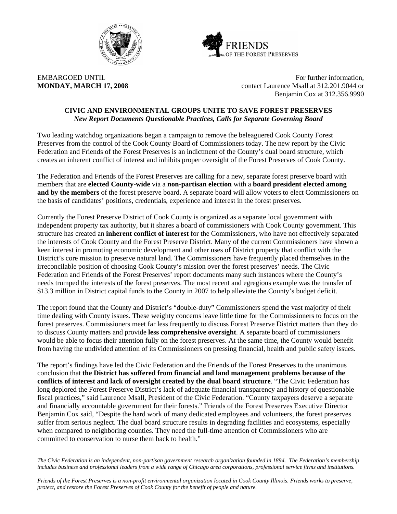



EMBARGOED UNTIL FOR THE SERVICE OF THE SERVICE OF FURTHER INFORMATION, **MONDAY, MARCH 17, 2008** contact Laurence Msall at 312.201.9044 or Benjamin Cox at 312.356.9990

#### **CIVIC AND ENVIRONMENTAL GROUPS UNITE TO SAVE FOREST PRESERVES**  *New Report Documents Questionable Practices, Calls for Separate Governing Board*

Two leading watchdog organizations began a campaign to remove the beleaguered Cook County Forest Preserves from the control of the Cook County Board of Commissioners today. The new report by the Civic Federation and Friends of the Forest Preserves is an indictment of the County's dual board structure, which creates an inherent conflict of interest and inhibits proper oversight of the Forest Preserves of Cook County.

The Federation and Friends of the Forest Preserves are calling for a new, separate forest preserve board with members that are **elected County-wide** via a **non-partisan election** with a **board president elected among and by the members** of the forest preserve board. A separate board will allow voters to elect Commissioners on the basis of candidates' positions, credentials, experience and interest in the forest preserves.

Currently the Forest Preserve District of Cook County is organized as a separate local government with independent property tax authority, but it shares a board of commissioners with Cook County government. This structure has created an **inherent conflict of interest** for the Commissioners, who have not effectively separated the interests of Cook County and the Forest Preserve District. Many of the current Commissioners have shown a keen interest in promoting economic development and other uses of District property that conflict with the District's core mission to preserve natural land. The Commissioners have frequently placed themselves in the irreconcilable position of choosing Cook County's mission over the forest preserves' needs. The Civic Federation and Friends of the Forest Preserves' report documents many such instances where the County's needs trumped the interests of the forest preserves. The most recent and egregious example was the transfer of \$13.3 million in District capital funds to the County in 2007 to help alleviate the County's budget deficit.

The report found that the County and District's "double-duty" Commissioners spend the vast majority of their time dealing with County issues. These weighty concerns leave little time for the Commissioners to focus on the forest preserves. Commissioners meet far less frequently to discuss Forest Preserve District matters than they do to discuss County matters and provide **less comprehensive oversight**. A separate board of commissioners would be able to focus their attention fully on the forest preserves. At the same time, the County would benefit from having the undivided attention of its Commissioners on pressing financial, health and public safety issues.

The report's findings have led the Civic Federation and the Friends of the Forest Preserves to the unanimous conclusion that **the District has suffered from financial and land management problems because of the conflicts of interest and lack of oversight created by the dual board structure**. "The Civic Federation has long deplored the Forest Preserve District's lack of adequate financial transparency and history of questionable fiscal practices," said Laurence Msall, President of the Civic Federation. "County taxpayers deserve a separate and financially accountable government for their forests." Friends of the Forest Preserves Executive Director Benjamin Cox said, "Despite the hard work of many dedicated employees and volunteers, the forest preserves suffer from serious neglect. The dual board structure results in degrading facilities and ecosystems, especially when compared to neighboring counties. They need the full-time attention of Commissioners who are committed to conservation to nurse them back to health."

*The Civic Federation is an independent, non-partisan government research organization founded in 1894. The Federation's membership includes business and professional leaders from a wide range of Chicago area corporations, professional service firms and institutions.* 

*Friends of the Forest Preserves is a non-profit environmental organization located in Cook County Illinois. Friends works to preserve, protect, and restore the Forest Preserves of Cook County for the benefit of people and nature.*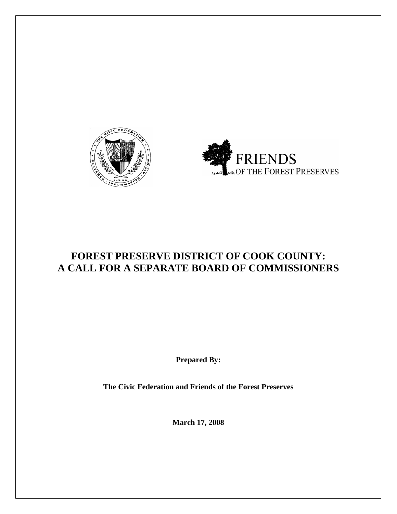



# **FOREST PRESERVE DISTRICT OF COOK COUNTY: A CALL FOR A SEPARATE BOARD OF COMMISSIONERS**

**Prepared By:** 

**The Civic Federation and Friends of the Forest Preserves** 

**March 17, 2008**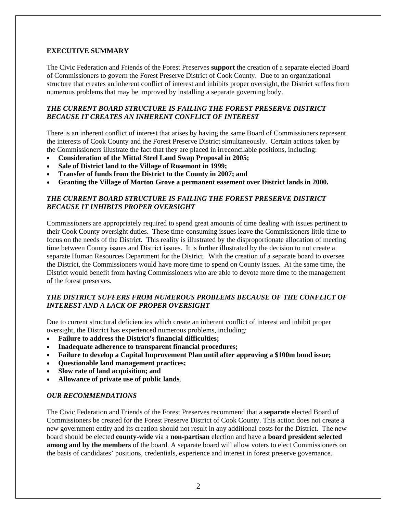#### **EXECUTIVE SUMMARY**

The Civic Federation and Friends of the Forest Preserves **support** the creation of a separate elected Board of Commissioners to govern the Forest Preserve District of Cook County. Due to an organizational structure that creates an inherent conflict of interest and inhibits proper oversight, the District suffers from numerous problems that may be improved by installing a separate governing body.

## *THE CURRENT BOARD STRUCTURE IS FAILING THE FOREST PRESERVE DISTRICT BECAUSE IT CREATES AN INHERENT CONFLICT OF INTEREST*

There is an inherent conflict of interest that arises by having the same Board of Commissioners represent the interests of Cook County and the Forest Preserve District simultaneously. Certain actions taken by the Commissioners illustrate the fact that they are placed in irreconcilable positions, including:

- **Consideration of the Mittal Steel Land Swap Proposal in 2005;**
- **Sale of District land to the Village of Rosemont in 1999;**
- **Transfer of funds from the District to the County in 2007; and**
- **Granting the Village of Morton Grove a permanent easement over District lands in 2000.**

## *THE CURRENT BOARD STRUCTURE IS FAILING THE FOREST PRESERVE DISTRICT BECAUSE IT INHIBITS PROPER OVERSIGHT*

Commissioners are appropriately required to spend great amounts of time dealing with issues pertinent to their Cook County oversight duties. These time-consuming issues leave the Commissioners little time to focus on the needs of the District. This reality is illustrated by the disproportionate allocation of meeting time between County issues and District issues. It is further illustrated by the decision to not create a separate Human Resources Department for the District. With the creation of a separate board to oversee the District, the Commissioners would have more time to spend on County issues. At the same time, the District would benefit from having Commissioners who are able to devote more time to the management of the forest preserves.

#### *THE DISTRICT SUFFERS FROM NUMEROUS PROBLEMS BECAUSE OF THE CONFLICT OF INTEREST AND A LACK OF PROPER OVERSIGHT*

Due to current structural deficiencies which create an inherent conflict of interest and inhibit proper oversight, the District has experienced numerous problems, including:

- **Failure to address the District's financial difficulties;**
- **Inadequate adherence to transparent financial procedures;**
- **Failure to develop a Capital Improvement Plan until after approving a \$100m bond issue;**
- **Questionable land management practices;**
- **Slow rate of land acquisition; and**
- **Allowance of private use of public lands**.

#### *OUR RECOMMENDATIONS*

The Civic Federation and Friends of the Forest Preserves recommend that a **separate** elected Board of Commissioners be created for the Forest Preserve District of Cook County. This action does not create a new government entity and its creation should not result in any additional costs for the District. The new board should be elected **county-wide** via a **non-partisan** election and have a **board president selected among and by the members** of the board. A separate board will allow voters to elect Commissioners on the basis of candidates' positions, credentials, experience and interest in forest preserve governance.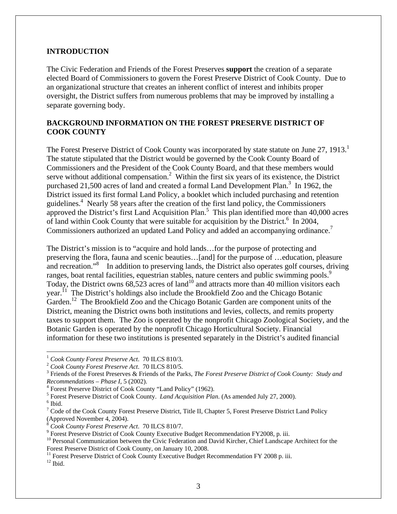## **INTRODUCTION**

The Civic Federation and Friends of the Forest Preserves **support** the creation of a separate elected Board of Commissioners to govern the Forest Preserve District of Cook County. Due to an organizational structure that creates an inherent conflict of interest and inhibits proper oversight, the District suffers from numerous problems that may be improved by installing a separate governing body.

## **BACKGROUND INFORMATION ON THE FOREST PRESERVE DISTRICT OF COOK COUNTY**

The Forest Preserve District of Cook County was incorporated by state statute on June 27, 1913.<sup>1</sup> The statute stipulated that the District would be governed by the Cook County Board of Commissioners and the President of the Cook County Board, and that these members would serve without additional compensation.<sup>2</sup> Within the first six years of its existence, the District purchased 21,500 acres of land and created a formal Land Development Plan.<sup>3</sup> In 1962, the District issued its first formal Land Policy, a booklet which included purchasing and retention guidelines.<sup>4</sup> Nearly 58 years after the creation of the first land policy, the Commissioners approved the District's first Land Acquisition Plan.<sup>5</sup> This plan identified more than  $40,000$  acres of land within Cook County that were suitable for acquisition by the District.<sup>6</sup> In 2004, Commissioners authorized an updated Land Policy and added an accompanying ordinance.<sup>7</sup>

The District's mission is to "acquire and hold lands…for the purpose of protecting and preserving the flora, fauna and scenic beauties…[and] for the purpose of …education, pleasure and recreation."<sup>8</sup> In addition to preserving lands, the District also operates golf courses, driving ranges, boat rental facilities, equestrian stables, nature centers and public swimming pools.<sup>9</sup> Today, the District owns  $68,523$  acres of land<sup>10</sup> and attracts more than 40 million visitors each year.<sup>11</sup> The District's holdings also include the Brookfield Zoo and the Chicago Botanic Garden.<sup>12</sup> The Brookfield Zoo and the Chicago Botanic Garden are component units of the District, meaning the District owns both institutions and levies, collects, and remits property taxes to support them. The Zoo is operated by the nonprofit Chicago Zoological Society, and the Botanic Garden is operated by the nonprofit Chicago Horticultural Society. Financial information for these two institutions is presented separately in the District's audited financial

<sup>&</sup>lt;sup>1</sup> *Cook County Forest Preserve Act.* 70 ILCS 810/3.<br><sup>2</sup> *Cook County Forest Preserve Act.* 70 ILCS 810/5.

Friends of the Forest Preserves & Friends of the Parks, *The Forest Preserve District of Cook County: Study and Recommendations – Phase I*, 5 (2002). 4

Forest Preserve District of Cook County "Land Policy" (1962).

<sup>&</sup>lt;sup>5</sup> Forest Preserve District of Cook County. *Land Acquisition Plan*. (As amended July 27, 2000).

 $^6$ Ibid.

 $7 \text{ Code of the Cook County Forest Preserve District, Title II, Chapter 5, Forest Preserve District Land Policy}$ (Approved November 4, 2004).

<sup>&</sup>lt;sup>8</sup> Cook County Forest Preserve Act. 70 ILCS 810/7.

<sup>&</sup>lt;sup>9</sup> Forest Preserve District of Cook County Executive Budget Recommendation FY2008, p. iii.

<sup>&</sup>lt;sup>10</sup> Personal Communication between the Civic Federation and David Kircher, Chief Landscape Architect for the Forest Preserve District of Cook County, on January 10, 2008.

 $11$  Forest Preserve District of Cook County Executive Budget Recommendation FY 2008 p. iii.

 $12$  Ibid.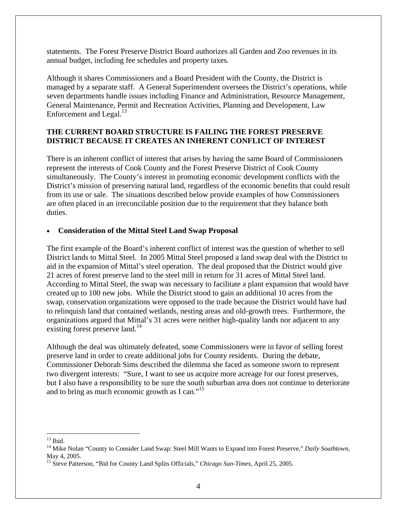statements. The Forest Preserve District Board authorizes all Garden and Zoo revenues in its annual budget, including fee schedules and property taxes.

Although it shares Commissioners and a Board President with the County, the District is managed by a separate staff. A General Superintendent oversees the District's operations, while seven departments handle issues including Finance and Administration, Resource Management, General Maintenance, Permit and Recreation Activities, Planning and Development, Law Enforcement and Legal. $^{13}$ 

# **THE CURRENT BOARD STRUCTURE IS FAILING THE FOREST PRESERVE DISTRICT BECAUSE IT CREATES AN INHERENT CONFLICT OF INTEREST**

There is an inherent conflict of interest that arises by having the same Board of Commissioners represent the interests of Cook County and the Forest Preserve District of Cook County simultaneously. The County's interest in promoting economic development conflicts with the District's mission of preserving natural land, regardless of the economic benefits that could result from its use or sale. The situations described below provide examples of how Commissioners are often placed in an irreconcilable position due to the requirement that they balance both duties.

# • **Consideration of the Mittal Steel Land Swap Proposal**

The first example of the Board's inherent conflict of interest was the question of whether to sell District lands to Mittal Steel. In 2005 Mittal Steel proposed a land swap deal with the District to aid in the expansion of Mittal's steel operation. The deal proposed that the District would give 21 acres of forest preserve land to the steel mill in return for 31 acres of Mittal Steel land. According to Mittal Steel, the swap was necessary to facilitate a plant expansion that would have created up to 100 new jobs. While the District stood to gain an additional 10 acres from the swap, conservation organizations were opposed to the trade because the District would have had to relinquish land that contained wetlands, nesting areas and old-growth trees. Furthermore, the organizations argued that Mittal's 31 acres were neither high-quality lands nor adjacent to any existing forest preserve land.<sup>14</sup>

Although the deal was ultimately defeated, some Commissioners were in favor of selling forest preserve land in order to create additional jobs for County residents. During the debate, Commissioner Deborah Sims described the dilemma she faced as someone sworn to represent two divergent interests: "Sure, I want to see us acquire more acreage for our forest preserves, but I also have a responsibility to be sure the south suburban area does not continue to deteriorate and to bring as much economic growth as I can."<sup>15</sup>

 $\overline{a}$  $13$  Ibid.

<sup>14</sup> Mike Nolan "County to Consider Land Swap: Steel Mill Wants to Expand into Forest Preserve," *Daily Southtown*, May 4, 2005.

<sup>15</sup> Steve Patterson, "Bid for County Land Splits Officials," *Chicago Sun-Times*, April 25, 2005.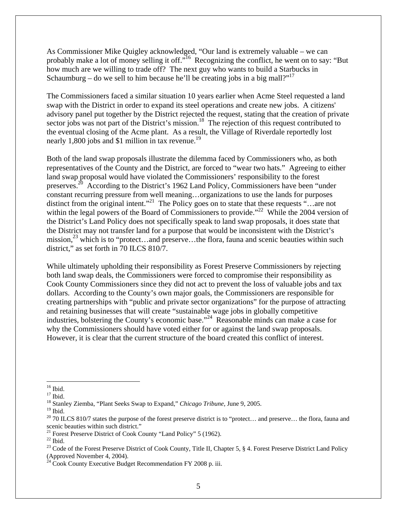As Commissioner Mike Quigley acknowledged, "Our land is extremely valuable – we can probably make a lot of money selling it off."<sup>16</sup> Recognizing the conflict, he went on to say: "But how much are we willing to trade off? The next guy who wants to build a Starbucks in Schaumburg – do we sell to him because he'll be creating jobs in a big mall?"

The Commissioners faced a similar situation 10 years earlier when Acme Steel requested a land swap with the District in order to expand its steel operations and create new jobs. A citizens' advisory panel put together by the District rejected the request, stating that the creation of private sector jobs was not part of the District's mission.<sup>18</sup> The rejection of this request contributed to the eventual closing of the Acme plant. As a result, the Village of Riverdale reportedly lost nearly 1,800 jobs and \$1 million in tax revenue.<sup>19</sup>

Both of the land swap proposals illustrate the dilemma faced by Commissioners who, as both representatives of the County and the District, are forced to "wear two hats." Agreeing to either land swap proposal would have violated the Commissioners' responsibility to the forest preserves.20 According to the District's 1962 Land Policy, Commissioners have been "under constant recurring pressure from well meaning…organizations to use the lands for purposes distinct from the original intent."<sup>21</sup> The Policy goes on to state that these requests "...are not within the legal powers of the Board of Commissioners to provide."<sup>22</sup> While the 2004 version of the District's Land Policy does not specifically speak to land swap proposals, it does state that the District may not transfer land for a purpose that would be inconsistent with the District's mission,<sup>23</sup> which is to "protect...and preserve...the flora, fauna and scenic beauties within such district," as set forth in 70 ILCS 810/7.

While ultimately upholding their responsibility as Forest Preserve Commissioners by rejecting both land swap deals, the Commissioners were forced to compromise their responsibility as Cook County Commissioners since they did not act to prevent the loss of valuable jobs and tax dollars. According to the County's own major goals, the Commissioners are responsible for creating partnerships with "public and private sector organizations" for the purpose of attracting and retaining businesses that will create "sustainable wage jobs in globally competitive industries, bolstering the County's economic base."24 Reasonable minds can make a case for why the Commissioners should have voted either for or against the land swap proposals. However, it is clear that the current structure of the board created this conflict of interest.

<sup>16</sup> Ibid.

 $17$  Ibid.

<sup>18</sup> Stanley Ziemba, "Plant Seeks Swap to Expand," *Chicago Tribune*, June 9, 2005.

 $^{\rm 19}$  Ibid.

 $20$  70 ILCS 810/7 states the purpose of the forest preserve district is to "protect... and preserve... the flora, fauna and scenic beauties within such district."

<sup>&</sup>lt;sup>21</sup> Forest Preserve District of Cook County "Land Policy" 5 (1962).

 $^{22}$  Ibid.

<sup>&</sup>lt;sup>23</sup> Code of the Forest Preserve District of Cook County, Title II, Chapter 5, § 4. Forest Preserve District Land Policy (Approved November 4, 2004).

Cook County Executive Budget Recommendation FY 2008 p. iii.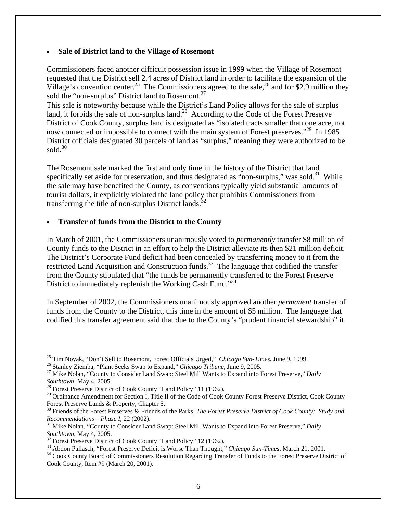#### • **Sale of District land to the Village of Rosemont**

Commissioners faced another difficult possession issue in 1999 when the Village of Rosemont requested that the District sell 2.4 acres of District land in order to facilitate the expansion of the Village's convention center.<sup>25</sup> The Commissioners agreed to the sale,<sup>26</sup> and for \$2.9 million they sold the "non-surplus" District land to Rosemont.<sup>27</sup>

This sale is noteworthy because while the District's Land Policy allows for the sale of surplus land, it forbids the sale of non-surplus land.<sup>28</sup> According to the Code of the Forest Preserve District of Cook County, surplus land is designated as "isolated tracts smaller than one acre, not now connected or impossible to connect with the main system of Forest preserves."<sup>29</sup> In 1985 District officials designated 30 parcels of land as "surplus," meaning they were authorized to be sold. $30$ 

The Rosemont sale marked the first and only time in the history of the District that land specifically set aside for preservation, and thus designated as "non-surplus," was sold.<sup>31</sup> While the sale may have benefited the County, as conventions typically yield substantial amounts of tourist dollars, it explicitly violated the land policy that prohibits Commissioners from transferring the title of non-surplus District lands. $^{32}$ 

## • **Transfer of funds from the District to the County**

In March of 2001, the Commissioners unanimously voted to *permanently* transfer \$8 million of County funds to the District in an effort to help the District alleviate its then \$21 million deficit. The District's Corporate Fund deficit had been concealed by transferring money to it from the restricted Land Acquisition and Construction funds.<sup>33</sup> The language that codified the transfer from the County stipulated that "the funds be permanently transferred to the Forest Preserve District to immediately replenish the Working Cash Fund."<sup>34</sup>

In September of 2002, the Commissioners unanimously approved another *permanent* transfer of funds from the County to the District, this time in the amount of \$5 million. The language that codified this transfer agreement said that due to the County's "prudent financial stewardship" it

<sup>&</sup>lt;sup>25</sup> Tim Novak, "Don't Sell to Rosemont, Forest Officials Urged," *Chicago Sun-Times*, June 9, 1999.

<sup>&</sup>lt;sup>26</sup> Stanley Ziemba, "Plant Seeks Swap to Expand," *Chicago Tribune*, June 9, 2005.<br><sup>27</sup> Mike Nolan, "County to Consider Land Swap: Steel Mill Wants to Expand into Forest Preserve," *Daily Southtown*, May 4, 2005.<br><sup>28</sup> Forest Preserve District of Cook County "Land Policy" 11 (1962).

<sup>&</sup>lt;sup>29</sup> Ordinance Amendment for Section I, Title II of the Code of Cook County Forest Preserve District, Cook County Forest Preserve Lands & Property, Chapter 5.

<sup>&</sup>lt;sup>30</sup> Friends of the Forest Preserves & Friends of the Parks, *The Forest Preserve District of Cook County: Study and Recommendations – Phase I*, 22 (2002).

<sup>&</sup>lt;sup>31</sup> Mike Nolan, "County to Consider Land Swap: Steel Mill Wants to Expand into Forest Preserve," *Daily Southtown*, May 4, 2005.

<sup>&</sup>lt;sup>32</sup> Forest Preserve District of Cook County "Land Policy" 12 (1962).<br><sup>33</sup> Abdon Pallasch, "Forest Preserve Deficit is Worse Than Thought," *Chicago Sun-Times*, March 21, 2001.

<sup>&</sup>lt;sup>34</sup> Cook County Board of Commissioners Resolution Regarding Transfer of Funds to the Forest Preserve District of Cook County, Item #9 (March 20, 2001).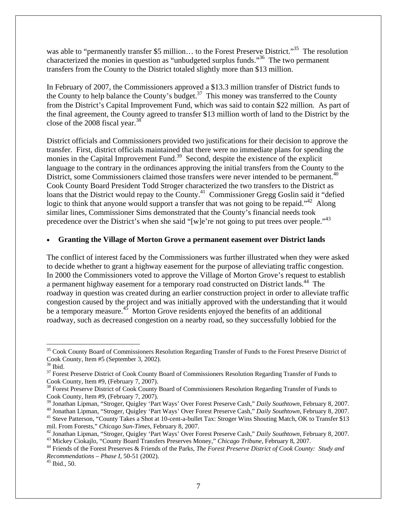was able to "permanently transfer \$5 million... to the Forest Preserve District."<sup>35</sup> The resolution characterized the monies in question as "unbudgeted surplus funds."36 The two permanent transfers from the County to the District totaled slightly more than \$13 million.

In February of 2007, the Commissioners approved a \$13.3 million transfer of District funds to the County to help balance the County's budget.<sup>37</sup> This money was transferred to the County from the District's Capital Improvement Fund, which was said to contain \$22 million. As part of the final agreement, the County agreed to transfer \$13 million worth of land to the District by the close of the 2008 fiscal year. $38$ 

District officials and Commissioners provided two justifications for their decision to approve the transfer. First, district officials maintained that there were no immediate plans for spending the monies in the Capital Improvement Fund.<sup>39</sup> Second, despite the existence of the explicit language to the contrary in the ordinances approving the initial transfers from the County to the District, some Commissioners claimed those transfers were never intended to be permanent.<sup>40</sup> Cook County Board President Todd Stroger characterized the two transfers to the District as loans that the District would repay to the County.<sup>41</sup> Commissioner Gregg Goslin said it "defied logic to think that anyone would support a transfer that was not going to be repaid."<sup>42</sup> Along similar lines, Commissioner Sims demonstrated that the County's financial needs took precedence over the District's when she said "[w]e're not going to put trees over people."<sup>43</sup>

## • **Granting the Village of Morton Grove a permanent easement over District lands**

The conflict of interest faced by the Commissioners was further illustrated when they were asked to decide whether to grant a highway easement for the purpose of alleviating traffic congestion. In 2000 the Commissioners voted to approve the Village of Morton Grove's request to establish a permanent highway easement for a temporary road constructed on District lands.<sup>44</sup> The roadway in question was created during an earlier construction project in order to alleviate traffic congestion caused by the project and was initially approved with the understanding that it would be a temporary measure.<sup>45</sup> Morton Grove residents enjoyed the benefits of an additional roadway, such as decreased congestion on a nearby road, so they successfully lobbied for the

<sup>1</sup> <sup>35</sup> Cook County Board of Commissioners Resolution Regarding Transfer of Funds to the Forest Preserve District of Cook County, Item #5 (September 3, 2002).

<sup>36</sup> Ibid.

<sup>&</sup>lt;sup>37</sup> Forest Preserve District of Cook County Board of Commissioners Resolution Regarding Transfer of Funds to Cook County, Item #9, (February 7, 2007).

<sup>&</sup>lt;sup>38</sup> Forest Preserve District of Cook County Board of Commissioners Resolution Regarding Transfer of Funds to

Cook County, Item #9, (February 7, 2007).<br><sup>39</sup> Jonathan Lipman, "Stroger, Quigley 'Part Ways' Over Forest Preserve Cash," *Daily Southtown*, February 8, 2007.

<sup>&</sup>lt;sup>40</sup> Jonathan Lipman, "Stroger, Quigley 'Part Ways' Over Forest Preserve Cash," Daily Southtown, February 8, 2007.<br><sup>41</sup> Steve Patterson, "County Takes a Shot at 10-cent-a-bullet Tax: Stroger Wins Shouting Match, OK to Tran

mil. From Forests," Chicago Sun-Times, February 8, 2007.<br><sup>42</sup> Jonathan Lipman, "Stroger, Quigley 'Part Ways' Over Forest Preserve Cash," Daily Southtown, February 8, 2007.<br><sup>43</sup> Mickey Ciokajlo, "County Board Transfers Pres

*Recommendations – Phase I*, 50-51 (2002). 45 Ibid., 50.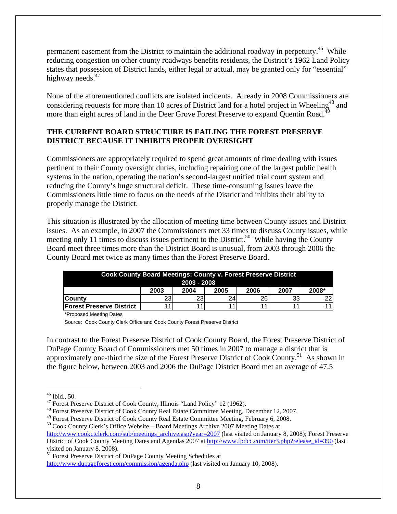permanent easement from the District to maintain the additional roadway in perpetuity.<sup>46</sup> While reducing congestion on other county roadways benefits residents, the District's 1962 Land Policy states that possession of District lands, either legal or actual, may be granted only for "essential" highway needs.<sup>47</sup>

None of the aforementioned conflicts are isolated incidents. Already in 2008 Commissioners are considering requests for more than 10 acres of District land for a hotel project in Wheeling<sup>48</sup> and more than eight acres of land in the Deer Grove Forest Preserve to expand Quentin Road.<sup>4</sup>

# **THE CURRENT BOARD STRUCTURE IS FAILING THE FOREST PRESERVE DISTRICT BECAUSE IT INHIBITS PROPER OVERSIGHT**

Commissioners are appropriately required to spend great amounts of time dealing with issues pertinent to their County oversight duties, including repairing one of the largest public health systems in the nation, operating the nation's second-largest unified trial court system and reducing the County's huge structural deficit. These time-consuming issues leave the Commissioners little time to focus on the needs of the District and inhibits their ability to properly manage the District.

This situation is illustrated by the allocation of meeting time between County issues and District issues. As an example, in 2007 the Commissioners met 33 times to discuss County issues, while meeting only 11 times to discuss issues pertinent to the District.<sup>50</sup> While having the County Board meet three times more than the District Board is unusual, from 2003 through 2006 the County Board met twice as many times than the Forest Preserve Board.

| <b>Cook County Board Meetings: County v. Forest Preserve District</b><br>2003 - 2008 |      |      |                 |      |                 |       |  |  |  |
|--------------------------------------------------------------------------------------|------|------|-----------------|------|-----------------|-------|--|--|--|
|                                                                                      | 2003 | 2004 | 2005            | 2006 | 2007            | 2008* |  |  |  |
| lCountv                                                                              | 23   | 23   | 24 <sub>1</sub> | 26   | 33 <sup>1</sup> | 22    |  |  |  |
| lForest Preserve District                                                            |      |      |                 |      |                 |       |  |  |  |

\*Proposed Meeting Dates

Source: Cook County Clerk Office and Cook County Forest Preserve District

In contrast to the Forest Preserve District of Cook County Board, the Forest Preserve District of DuPage County Board of Commissioners met 50 times in 2007 to manage a district that is approximately one-third the size of the Forest Preserve District of Cook County.<sup>51</sup> As shown in the figure below, between 2003 and 2006 the DuPage District Board met an average of 47.5

50 Cook County Clerk's Office Website – Board Meetings Archive 2007 Meeting Dates at

 $\overline{a}$  $46$  Ibid., 50.

<sup>47</sup> Forest Preserve District of Cook County, Illinois "Land Policy" 12 (1962).

<sup>48</sup> Forest Preserve District of Cook County Real Estate Committee Meeting, December 12, 2007.

<sup>49</sup> Forest Preserve District of Cook County Real Estate Committee Meeting, February 6, 2008.

http://www.cookctclerk.com/sub/meetings\_archive.asp?year=2007 (last visited on January 8, 2008); Forest Preserve District of Cook County Meeting Dates and Agendas 2007 at http://www.fpdcc.com/tier3.php?release\_id=390 (last visited on January 8, 2008).

<sup>51</sup> Forest Preserve District of DuPage County Meeting Schedules at http://www.dupageforest.com/commission/agenda.php (last visited on January 10, 2008).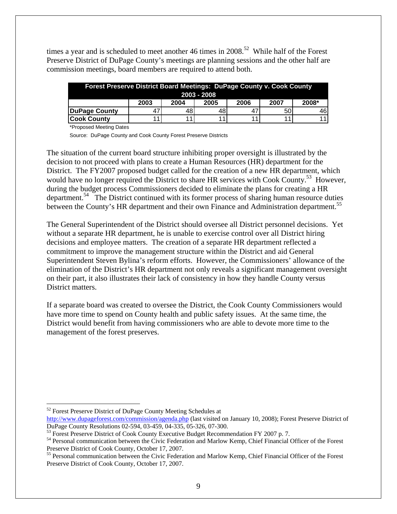times a year and is scheduled to meet another 46 times in  $2008$ <sup>52</sup> While half of the Forest Preserve District of DuPage County's meetings are planning sessions and the other half are commission meetings, board members are required to attend both.

| <b>Forest Preserve District Board Meetings: DuPage County v. Cook County</b> |      |      |      |      |      |       |  |  |
|------------------------------------------------------------------------------|------|------|------|------|------|-------|--|--|
| $2003 - 2008$                                                                |      |      |      |      |      |       |  |  |
|                                                                              | 2003 | 2004 | 2005 | 2006 | 2007 | 2008* |  |  |
| <b>DuPage County</b>                                                         | 47   | 481  | 48   | 47   | 50   | 461   |  |  |
| <b>Cook County</b>                                                           |      |      | . 4  |      |      | 11 I  |  |  |

\*Proposed Meeting Dates

Source: DuPage County and Cook County Forest Preserve Districts

The situation of the current board structure inhibiting proper oversight is illustrated by the decision to not proceed with plans to create a Human Resources (HR) department for the District. The FY2007 proposed budget called for the creation of a new HR department, which would have no longer required the District to share HR services with Cook County.<sup>53</sup> However, during the budget process Commissioners decided to eliminate the plans for creating a HR department.<sup>54</sup> The District continued with its former process of sharing human resource duties between the County's HR department and their own Finance and Administration department.<sup>55</sup>

The General Superintendent of the District should oversee all District personnel decisions. Yet without a separate HR department, he is unable to exercise control over all District hiring decisions and employee matters. The creation of a separate HR department reflected a commitment to improve the management structure within the District and aid General Superintendent Steven Bylina's reform efforts. However, the Commissioners' allowance of the elimination of the District's HR department not only reveals a significant management oversight on their part, it also illustrates their lack of consistency in how they handle County versus District matters.

If a separate board was created to oversee the District, the Cook County Commissioners would have more time to spend on County health and public safety issues. At the same time, the District would benefit from having commissioners who are able to devote more time to the management of the forest preserves.

<sup>&</sup>lt;sup>52</sup> Forest Preserve District of DuPage County Meeting Schedules at

http://www.dupageforest.com/commission/agenda.php (last visited on January 10, 2008); Forest Preserve District of DuPage County Resolutions 02-594, 03-459, 04-335, 05-326, 07-300.

<sup>&</sup>lt;sup>53</sup> Forest Preserve District of Cook County Executive Budget Recommendation FY 2007 p. 7.

<sup>&</sup>lt;sup>54</sup> Personal communication between the Civic Federation and Marlow Kemp, Chief Financial Officer of the Forest<br>Preserve District of Cook County, October 17, 2007.

<sup>&</sup>lt;sup>55</sup> Personal communication between the Civic Federation and Marlow Kemp, Chief Financial Officer of the Forest Preserve District of Cook County, October 17, 2007.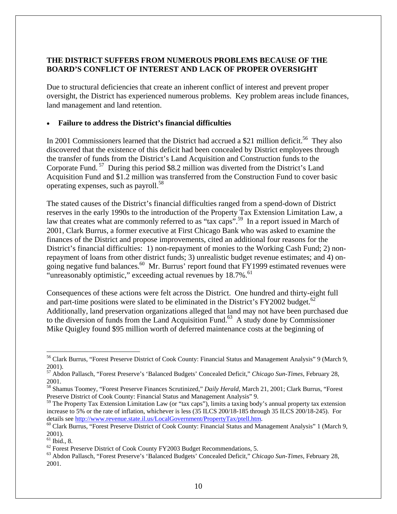# **THE DISTRICT SUFFERS FROM NUMEROUS PROBLEMS BECAUSE OF THE BOARD'S CONFLICT OF INTEREST AND LACK OF PROPER OVERSIGHT**

Due to structural deficiencies that create an inherent conflict of interest and prevent proper oversight, the District has experienced numerous problems. Key problem areas include finances, land management and land retention.

## • **Failure to address the District's financial difficulties**

In 2001 Commissioners learned that the District had accrued a \$21 million deficit.<sup>56</sup> They also discovered that the existence of this deficit had been concealed by District employees through the transfer of funds from the District's Land Acquisition and Construction funds to the Corporate Fund.<sup>57</sup> During this period \$8.2 million was diverted from the District's Land Acquisition Fund and \$1.2 million was transferred from the Construction Fund to cover basic operating expenses, such as payroll.<sup>58</sup>

The stated causes of the District's financial difficulties ranged from a spend-down of District reserves in the early 1990s to the introduction of the Property Tax Extension Limitation Law, a law that creates what are commonly referred to as "tax caps".<sup>59</sup> In a report issued in March of 2001, Clark Burrus, a former executive at First Chicago Bank who was asked to examine the finances of the District and propose improvements, cited an additional four reasons for the District's financial difficulties: 1) non-repayment of monies to the Working Cash Fund; 2) nonrepayment of loans from other district funds; 3) unrealistic budget revenue estimates; and 4) ongoing negative fund balances.<sup>60</sup> Mr. Burrus' report found that FY1999 estimated revenues were "unreasonably optimistic," exceeding actual revenues by 18.7%.<sup>61</sup>

Consequences of these actions were felt across the District. One hundred and thirty-eight full and part-time positions were slated to be eliminated in the District's FY2002 budget. $62$ Additionally, land preservation organizations alleged that land may not have been purchased due to the diversion of funds from the Land Acquisition Fund.<sup>63</sup> A study done by Commissioner Mike Quigley found \$95 million worth of deferred maintenance costs at the beginning of

 $\overline{a}$ 56 Clark Burrus, "Forest Preserve District of Cook County: Financial Status and Management Analysis" 9 (March 9, 2001).

<sup>57</sup> Abdon Pallasch, "Forest Preserve's 'Balanced Budgets' Concealed Deficit," *Chicago Sun-Times*, February 28, 2001.

<sup>58</sup> Shamus Toomey, "Forest Preserve Finances Scrutinized," *Daily Herald*, March 21, 2001; Clark Burrus, "Forest Preserve District of Cook County: Financial Status and Management Analysis" 9.

<sup>&</sup>lt;sup>59</sup> The Property Tax Extension Limitation Law (or "tax caps"), limits a taxing body's annual property tax extension increase to 5% or the rate of inflation, whichever is less (35 ILCS 200/18-185 through 35 ILCS 200/18-245). For details see http://www.revenue.state.il.us/LocalGovernment/PropertyTax/ptell.htm.<br><sup>60</sup> Clark Burrus, "Forest Preserve District of Cook County: Financial Status and Management Analysis" 1 (March 9,

<sup>2001).</sup> 

 $<sup>61</sup>$  Ibid., 8.</sup>

 $62$  Forest Preserve District of Cook County FY2003 Budget Recommendations, 5.

<sup>63</sup> Abdon Pallasch, "Forest Preserve's 'Balanced Budgets' Concealed Deficit," *Chicago Sun-Times*, February 28, 2001.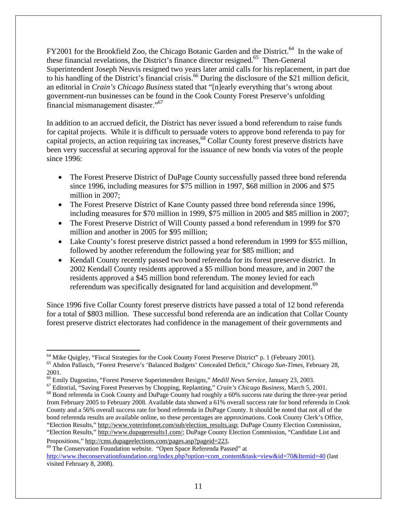FY2001 for the Brookfield Zoo, the Chicago Botanic Garden and the District.<sup>64</sup> In the wake of these financial revelations, the District's finance director resigned.<sup>65</sup> Then-General Superintendent Joseph Neuvis resigned two years later amid calls for his replacement, in part due to his handling of the District's financial crisis.<sup>66</sup> During the disclosure of the \$21 million deficit, an editorial in *Crain's Chicago Business* stated that "[n]early everything that's wrong about government-run businesses can be found in the Cook County Forest Preserve's unfolding financial mismanagement disaster."67

In addition to an accrued deficit, the District has never issued a bond referendum to raise funds for capital projects. While it is difficult to persuade voters to approve bond referenda to pay for capital projects, an action requiring tax increases,<sup>68</sup> Collar County forest preserve districts have been very successful at securing approval for the issuance of new bonds via votes of the people since 1996:

- The Forest Preserve District of DuPage County successfully passed three bond referenda since 1996, including measures for \$75 million in 1997, \$68 million in 2006 and \$75 million in 2007;
- The Forest Preserve District of Kane County passed three bond referenda since 1996, including measures for \$70 million in 1999, \$75 million in 2005 and \$85 million in 2007;
- The Forest Preserve District of Will County passed a bond referendum in 1999 for \$70 million and another in 2005 for \$95 million;
- Lake County's forest preserve district passed a bond referendum in 1999 for \$55 million, followed by another referendum the following year for \$85 million; and
- Kendall County recently passed two bond referenda for its forest preserve district. In 2002 Kendall County residents approved a \$5 million bond measure, and in 2007 the residents approved a \$45 million bond referendum. The money levied for each referendum was specifically designated for land acquisition and development.<sup>69</sup>

Since 1996 five Collar County forest preserve districts have passed a total of 12 bond referenda for a total of \$803 million. These successful bond referenda are an indication that Collar County forest preserve district electorates had confidence in the management of their governments and

<sup>64</sup> Mike Quigley, "Fiscal Strategies for the Cook County Forest Preserve District" p. 1 (February 2001). 65 Abdon Pallasch, "Forest Preserve's 'Balanced Budgets' Concealed Deficit," *Chicago Sun-Times*, February 28,

<sup>2001.&</sup>lt;br><sup>66</sup> Emily Dagostino, "Forest Preserve Superintendent Resigns," Medill News Service, January 23, 2003.

 $^{67}$  Editorial, "Saving Forest Preserves by Chopping, Replanting," Crain's Chicago Business, March 5, 2001.<br><sup>68</sup> Bond referenda in Cook County and DuPage County had roughly a 60% success rate during the three-year perio from February 2005 to February 2008. Available data showed a 61% overall success rate for bond referenda in Cook County and a 56% overall success rate for bond referenda in DuPage County. It should be noted that not all of the bond referenda results are available online, so these percentages are approximations. Cook County Clerk's Office, "Election Results," http://www.voterinfonet.com/sub/election\_results.asp; DuPage County Election Commission, "Election Results," http://www.dupageresults1.com/; DuPage County Election Commission, "Candidate List and

Propositions," http://cms.dupageelections.com/pages.asp?pageid=223.<br><sup>69</sup> The Conservation Foundation website. "Open Space Referenda Passed" at http://www.theconservationfoundation.org/index.php?option=com\_content&task=view&id=70&Itemid=40 (last visited February 8, 2008).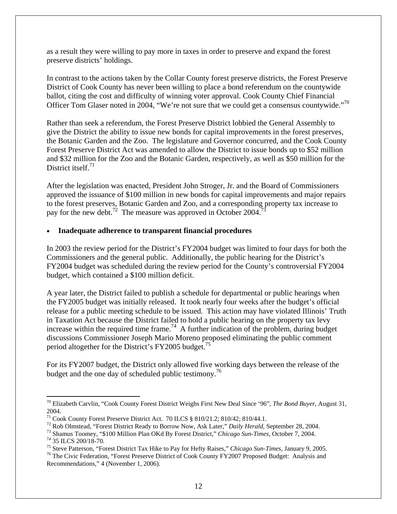as a result they were willing to pay more in taxes in order to preserve and expand the forest preserve districts' holdings.

In contrast to the actions taken by the Collar County forest preserve districts, the Forest Preserve District of Cook County has never been willing to place a bond referendum on the countywide ballot, citing the cost and difficulty of winning voter approval. Cook County Chief Financial Officer Tom Glaser noted in 2004, "We're not sure that we could get a consensus countywide."70

Rather than seek a referendum, the Forest Preserve District lobbied the General Assembly to give the District the ability to issue new bonds for capital improvements in the forest preserves, the Botanic Garden and the Zoo. The legislature and Governor concurred, and the Cook County Forest Preserve District Act was amended to allow the District to issue bonds up to \$52 million and \$32 million for the Zoo and the Botanic Garden, respectively, as well as \$50 million for the District itself. $71$ 

After the legislation was enacted, President John Stroger, Jr. and the Board of Commissioners approved the issuance of \$100 million in new bonds for capital improvements and major repairs to the forest preserves, Botanic Garden and Zoo, and a corresponding property tax increase to pay for the new debt.<sup>72</sup> The measure was approved in October 2004.

## • **Inadequate adherence to transparent financial procedures**

In 2003 the review period for the District's FY2004 budget was limited to four days for both the Commissioners and the general public. Additionally, the public hearing for the District's FY2004 budget was scheduled during the review period for the County's controversial FY2004 budget, which contained a \$100 million deficit.

A year later, the District failed to publish a schedule for departmental or public hearings when the FY2005 budget was initially released. It took nearly four weeks after the budget's official release for a public meeting schedule to be issued. This action may have violated Illinois' Truth in Taxation Act because the District failed to hold a public hearing on the property tax levy increase within the required time frame.<sup>74</sup> A further indication of the problem, during budget discussions Commissioner Joseph Mario Moreno proposed eliminating the public comment period altogether for the District's FY2005 budget.<sup>75</sup>

For its FY2007 budget, the District only allowed five working days between the release of the budget and the one day of scheduled public testimony.<sup>76</sup>

<sup>70</sup> Elizabeth Carvlin, "Cook County Forest District Weighs First New Deal Since '96", *The Bond Buyer*, August 31, 2004.

 $\frac{71}{71}$  Cook County Forest Preserve District Act. 70 ILCS § 810/21.2; 810/42; 810/44.1.<br><sup>72</sup> Rob Olmstead, "Forest District Ready to Borrow Now, Ask Later," *Daily Herald*, September 28, 2004.

<sup>&</sup>lt;sup>73</sup> Shamus Toomey, "\$100 Million Plan OKd By Forest District," Chicago Sun-Times, October 7, 2004.<br><sup>74</sup> 35 ILCS 200/18-70.<br><sup>75</sup> Steve Patterson, "Forest District Tax Hike to Pay for Hefty Raises," Chicago Sun-Times, Janu

<sup>&</sup>lt;sup>76</sup> The Civic Federation, "Forest Preserve District of Cook County FY2007 Proposed Budget: Analysis and Recommendations," 4 (November 1, 2006).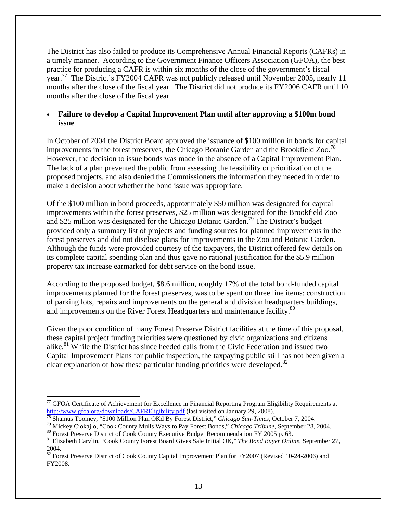The District has also failed to produce its Comprehensive Annual Financial Reports (CAFRs) in a timely manner. According to the Government Finance Officers Association (GFOA), the best practice for producing a CAFR is within six months of the close of the government's fiscal year.<sup>77</sup> The District's FY2004 CAFR was not publicly released until November 2005, nearly 11 months after the close of the fiscal year. The District did not produce its FY2006 CAFR until 10 months after the close of the fiscal year.

## • **Failure to develop a Capital Improvement Plan until after approving a \$100m bond issue**

In October of 2004 the District Board approved the issuance of \$100 million in bonds for capital improvements in the forest preserves, the Chicago Botanic Garden and the Brookfield Zoo.<sup>7</sup> However, the decision to issue bonds was made in the absence of a Capital Improvement Plan. The lack of a plan prevented the public from assessing the feasibility or prioritization of the proposed projects, and also denied the Commissioners the information they needed in order to make a decision about whether the bond issue was appropriate.

Of the \$100 million in bond proceeds, approximately \$50 million was designated for capital improvements within the forest preserves, \$25 million was designated for the Brookfield Zoo and \$25 million was designated for the Chicago Botanic Garden.79 The District's budget provided only a summary list of projects and funding sources for planned improvements in the forest preserves and did not disclose plans for improvements in the Zoo and Botanic Garden. Although the funds were provided courtesy of the taxpayers, the District offered few details on its complete capital spending plan and thus gave no rational justification for the \$5.9 million property tax increase earmarked for debt service on the bond issue.

According to the proposed budget, \$8.6 million, roughly 17% of the total bond-funded capital improvements planned for the forest preserves, was to be spent on three line items: construction of parking lots, repairs and improvements on the general and division headquarters buildings, and improvements on the River Forest Headquarters and maintenance facility.<sup>80</sup>

Given the poor condition of many Forest Preserve District facilities at the time of this proposal, these capital project funding priorities were questioned by civic organizations and citizens alike.<sup>81</sup> While the District has since heeded calls from the Civic Federation and issued two Capital Improvement Plans for public inspection, the taxpaying public still has not been given a clear explanation of how these particular funding priorities were developed. $82$ 

1

<sup>&</sup>lt;sup>77</sup> GFOA Certificate of Achievement for Excellence in Financial Reporting Program Eligibility Requirements at http://www.gfoa.org/downloads/CAFREligibility.pdf (last visited on January 29, 2008).

<sup>&</sup>lt;sup>78</sup> Shamus Toomey, "\$100 Million Plan OKd By Forest District," Chicago Sun-Times, October 7, 2004.<br><sup>79</sup> Mickey Ciokajlo, "Cook County Mulls Ways to Pay Forest Bonds," Chicago Tribune, September 28, 2004.<br><sup>80</sup> Forest Pres

<sup>81</sup> Elizabeth Carvlin, "Cook County Forest Board Gives Sale Initial OK," *The Bond Buyer Online*, September 27, 2004.

<sup>&</sup>lt;sup>82</sup> Forest Preserve District of Cook County Capital Improvement Plan for FY2007 (Revised 10-24-2006) and FY2008.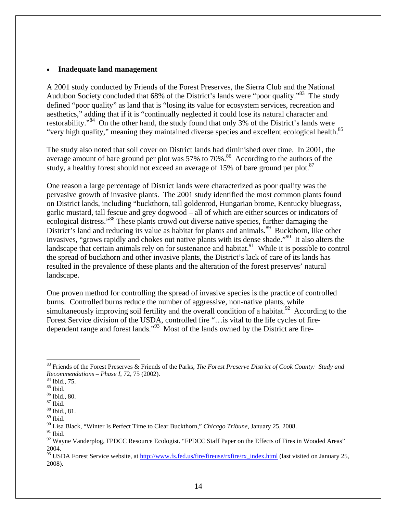#### • **Inadequate land management**

A 2001 study conducted by Friends of the Forest Preserves, the Sierra Club and the National Audubon Society concluded that 68% of the District's lands were "poor quality."<sup>83</sup> The study defined "poor quality" as land that is "losing its value for ecosystem services, recreation and aesthetics," adding that if it is "continually neglected it could lose its natural character and restorability."<sup>84</sup> On the other hand, the study found that only 3% of the District's lands were "very high quality," meaning they maintained diverse species and excellent ecological health.<sup>85</sup>

The study also noted that soil cover on District lands had diminished over time. In 2001, the average amount of bare ground per plot was  $57\%$  to  $70\%$ .<sup>86</sup> According to the authors of the study, a healthy forest should not exceed an average of 15% of bare ground per plot. $87$ 

One reason a large percentage of District lands were characterized as poor quality was the pervasive growth of invasive plants. The 2001 study identified the most common plants found on District lands, including "buckthorn, tall goldenrod, Hungarian brome, Kentucky bluegrass, garlic mustard, tall fescue and grey dogwood – all of which are either sources or indicators of ecological distress."<sup>88</sup> These plants crowd out diverse native species, further damaging the District's land and reducing its value as habitat for plants and animals.<sup>89</sup> Buckthorn, like other invasives, "grows rapidly and chokes out native plants with its dense shade."90 It also alters the landscape that certain animals rely on for sustenance and habitat.<sup>91</sup> While it is possible to control the spread of buckthorn and other invasive plants, the District's lack of care of its lands has resulted in the prevalence of these plants and the alteration of the forest preserves' natural landscape.

One proven method for controlling the spread of invasive species is the practice of controlled burns. Controlled burns reduce the number of aggressive, non-native plants, while simultaneously improving soil fertility and the overall condition of a habitat.<sup>92</sup> According to the Forest Service division of the USDA, controlled fire "…is vital to the life cycles of firedependent range and forest lands."93 Most of the lands owned by the District are fire-

<sup>83</sup> Friends of the Forest Preserves & Friends of the Parks, *The Forest Preserve District of Cook County: Study and Recommendations – Phase I*, 72, 75 (2002). 84 Ibid., 75.

 $^{85}$  Ibid.

<sup>86</sup> Ibid., 80.

 $^{\,87}$  Ibid.

<sup>88</sup> Ibid., 81.

<sup>89</sup> Ibid.

<sup>90</sup> Lisa Black, "Winter Is Perfect Time to Clear Buckthorn," *Chicago Tribune*, January 25, 2008.

 $91$  Ibid.

 $92$  Wayne Vanderplog, FPDCC Resource Ecologist. "FPDCC Staff Paper on the Effects of Fires in Wooded Areas" 2004.

<sup>&</sup>lt;sup>93</sup> USDA Forest Service website, at http://www.fs.fed.us/fire/fireuse/rxfire/rx\_index.html (last visited on January 25, 2008).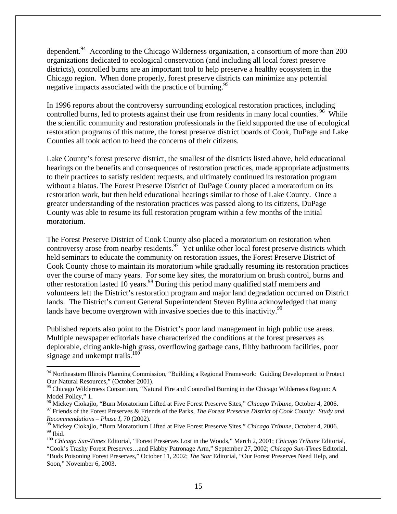dependent.<sup>94</sup> According to the Chicago Wilderness organization, a consortium of more than 200 organizations dedicated to ecological conservation (and including all local forest preserve districts), controlled burns are an important tool to help preserve a healthy ecosystem in the Chicago region. When done properly, forest preserve districts can minimize any potential negative impacts associated with the practice of burning.<sup>95</sup>

In 1996 reports about the controversy surrounding ecological restoration practices, including controlled burns, led to protests against their use from residents in many local counties.<sup>96</sup> While the scientific community and restoration professionals in the field supported the use of ecological restoration programs of this nature, the forest preserve district boards of Cook, DuPage and Lake Counties all took action to heed the concerns of their citizens.

Lake County's forest preserve district, the smallest of the districts listed above, held educational hearings on the benefits and consequences of restoration practices, made appropriate adjustments to their practices to satisfy resident requests, and ultimately continued its restoration program without a hiatus. The Forest Preserve District of DuPage County placed a moratorium on its restoration work, but then held educational hearings similar to those of Lake County. Once a greater understanding of the restoration practices was passed along to its citizens, DuPage County was able to resume its full restoration program within a few months of the initial moratorium.

The Forest Preserve District of Cook County also placed a moratorium on restoration when controversy arose from nearby residents.<sup>97</sup> Yet unlike other local forest preserve districts which held seminars to educate the community on restoration issues, the Forest Preserve District of Cook County chose to maintain its moratorium while gradually resuming its restoration practices over the course of many years. For some key sites, the moratorium on brush control, burns and other restoration lasted 10 years.<sup>98</sup> During this period many qualified staff members and volunteers left the District's restoration program and major land degradation occurred on District lands. The District's current General Superintendent Steven Bylina acknowledged that many lands have become overgrown with invasive species due to this inactivity.<sup>99</sup>

Published reports also point to the District's poor land management in high public use areas. Multiple newspaper editorials have characterized the conditions at the forest preserves as deplorable, citing ankle-high grass, overflowing garbage cans, filthy bathroom facilities, poor signage and unkempt trails.<sup>100</sup>

<sup>&</sup>lt;sup>94</sup> Northeastern Illinois Planning Commission, "Building a Regional Framework: Guiding Development to Protect Our Natural Resources," (October 2001).

<sup>&</sup>lt;sup>95</sup> Chicago Wilderness Consortium, "Natural Fire and Controlled Burning in the Chicago Wilderness Region: A Model Policy," 1.<br><sup>96</sup> Mickey Ciokajlo, "Burn Moratorium Lifted at Five Forest Preserve Sites," *Chicago Tribune*, October 4, 2006.

<sup>&</sup>lt;sup>97</sup> Friends of the Forest Preserves & Friends of the Parks, The Forest Preserve District of Cook County: Study and *Recommendations – Phase I*, 70 (2002).

<sup>&</sup>lt;sup>98</sup> Mickey Ciokajlo, "Burn Moratorium Lifted at Five Forest Preserve Sites," *Chicago Tribune*, October 4, 2006.<br><sup>99</sup> Ibid.

<sup>100</sup> *Chicago Sun-Times* Editorial, "Forest Preserves Lost in the Woods," March 2, 2001; *Chicago Tribune* Editorial, "Cook's Trashy Forest Preserves…and Flabby Patronage Arm," September 27, 2002; *Chicago Sun-Times* Editorial, "Buds Poisoning Forest Preserves," October 11, 2002; *The Star* Editorial, "Our Forest Preserves Need Help, and Soon," November 6, 2003.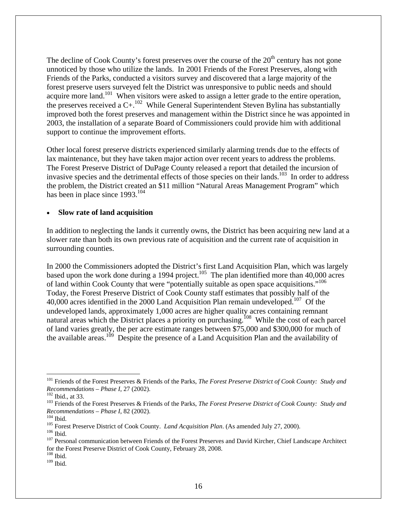The decline of Cook County's forest preserves over the course of the  $20<sup>th</sup>$  century has not gone unnoticed by those who utilize the lands. In 2001 Friends of the Forest Preserves, along with Friends of the Parks, conducted a visitors survey and discovered that a large majority of the forest preserve users surveyed felt the District was unresponsive to public needs and should acquire more land.<sup>101</sup> When visitors were asked to assign a letter grade to the entire operation, the preserves received a C+.<sup>102</sup> While General Superintendent Steven Bylina has substantially improved both the forest preserves and management within the District since he was appointed in 2003, the installation of a separate Board of Commissioners could provide him with additional support to continue the improvement efforts.

Other local forest preserve districts experienced similarly alarming trends due to the effects of lax maintenance, but they have taken major action over recent years to address the problems. The Forest Preserve District of DuPage County released a report that detailed the incursion of invasive species and the detrimental effects of those species on their lands.<sup>103</sup> In order to address the problem, the District created an \$11 million "Natural Areas Management Program" which has been in place since  $1993.^{104}$ 

## • **Slow rate of land acquisition**

In addition to neglecting the lands it currently owns, the District has been acquiring new land at a slower rate than both its own previous rate of acquisition and the current rate of acquisition in surrounding counties.

In 2000 the Commissioners adopted the District's first Land Acquisition Plan, which was largely based upon the work done during a 1994 project.<sup>105</sup> The plan identified more than 40,000 acres of land within Cook County that were "potentially suitable as open space acquisitions."106 Today, the Forest Preserve District of Cook County staff estimates that possibly half of the 40,000 acres identified in the 2000 Land Acquisition Plan remain undeveloped.<sup>107</sup> Of the undeveloped lands, approximately 1,000 acres are higher quality acres containing remnant natural areas which the District places a priority on purchasing.<sup>108</sup> While the cost of each parcel of land varies greatly, the per acre estimate ranges between \$75,000 and \$300,000 for much of the available areas.<sup>109</sup> Despite the presence of a Land Acquisition Plan and the availability of

<sup>&</sup>lt;sup>101</sup> Friends of the Forest Preserves & Friends of the Parks, *The Forest Preserve District of Cook County: Study and Recommendations – Phase I, 27 (2002).* 

<sup>&</sup>lt;sup>102</sup> Ibid., at 33.<br><sup>103</sup> Friends of the Forest Preserves & Friends of the Parks, *The Forest Preserve District of Cook County: Study and* Recommendations – Phase I, 82 (2002).<br><sup>104</sup> Ibid.<br><sup>105</sup> Forest Preserve District of Cook County. *Land Acquisition Plan*. (As amended July 27, 2000).<br><sup>106</sup> Ibid.<br><sup>107</sup> Personal communication between Friends of the Forest P

for the Forest Preserve District of Cook County, February 28, 2008.

 $108$  Ibid.

 $109$  Ibid.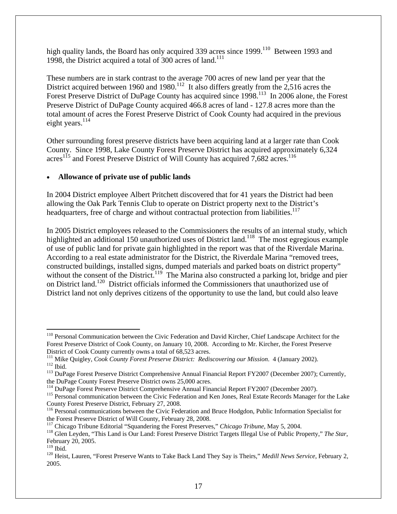high quality lands, the Board has only acquired 339 acres since 1999.<sup>110</sup> Between 1993 and 1998, the District acquired a total of 300 acres of land.<sup>111</sup>

These numbers are in stark contrast to the average 700 acres of new land per year that the District acquired between 1960 and 1980.<sup>112</sup> It also differs greatly from the 2,516 acres the Forest Preserve District of DuPage County has acquired since 1998.<sup>113</sup> In 2006 alone, the Forest Preserve District of DuPage County acquired 466.8 acres of land - 127.8 acres more than the total amount of acres the Forest Preserve District of Cook County had acquired in the previous eight years. $^{114}$ 

Other surrounding forest preserve districts have been acquiring land at a larger rate than Cook County. Since 1998, Lake County Forest Preserve District has acquired approximately 6,324 acres<sup>115</sup> and Forest Preserve District of Will County has acquired 7,682 acres.<sup>116</sup>

# • **Allowance of private use of public lands**

In 2004 District employee Albert Pritchett discovered that for 41 years the District had been allowing the Oak Park Tennis Club to operate on District property next to the District's headquarters, free of charge and without contractual protection from liabilities.<sup>117</sup>

In 2005 District employees released to the Commissioners the results of an internal study, which highlighted an additional 150 unauthorized uses of District land.<sup>118</sup> The most egregious example of use of public land for private gain highlighted in the report was that of the Riverdale Marina. According to a real estate administrator for the District, the Riverdale Marina "removed trees, constructed buildings, installed signs, dumped materials and parked boats on district property" without the consent of the District.<sup>119</sup> The Marina also constructed a parking lot, bridge and pier on District land.<sup>120</sup> District officials informed the Commissioners that unauthorized use of District land not only deprives citizens of the opportunity to use the land, but could also leave

<sup>&</sup>lt;sup>110</sup> Personal Communication between the Civic Federation and David Kircher, Chief Landscape Architect for the Forest Preserve District of Cook County, on January 10, 2008. According to Mr. Kircher, the Forest Preserve

<sup>&</sup>lt;sup>111</sup> Mike Quigley, *Cook County Forest Preserve District: Rediscovering our Mission.* 4 (January 2002).<br><sup>112</sup> Ibid.<br><sup>113</sup> DuPage Forest Preserve District Comprehensive Annual Financial Report FY2007 (December 2007); Curr

the DuPage County Forest Preserve District owns 25,000 acres.<br><sup>114</sup> DuPage Forest Preserve District Comprehensive Annual Financial Report FY2007 (December 2007).

<sup>&</sup>lt;sup>115</sup> Personal communication between the Civic Federation and Ken Jones, Real Estate Records Manager for the Lake County Forest Preserve District, February 27, 2008.

<sup>&</sup>lt;sup>116</sup> Personal communications between the Civic Federation and Bruce Hodgdon, Public Information Specialist for the Forest Preserve District of Will County, February 28, 2008.<br><sup>117</sup> Chicago Tribune Editorial "Squandering the Forest Preserves," Chicago Tribune, May 5, 2004.

<sup>&</sup>lt;sup>118</sup> Glen Leyden, "This Land is Our Land: Forest Preserve District Targets Illegal Use of Public Property," The Star, February 20, 2005.<br><sup>119</sup> Ibid.

<sup>&</sup>lt;sup>120</sup> Heist, Lauren, "Forest Preserve Wants to Take Back Land They Say is Theirs," *Medill News Service*, February 2, 2005.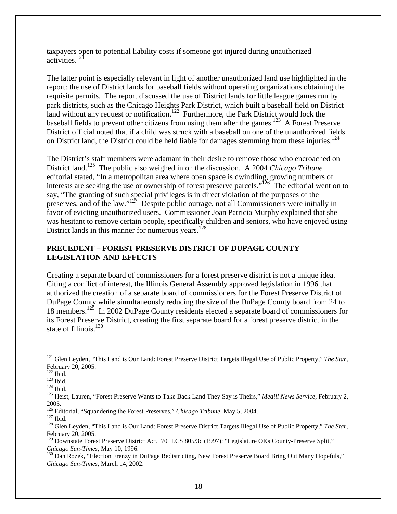taxpayers open to potential liability costs if someone got injured during unauthorized activities.<sup>121</sup>

The latter point is especially relevant in light of another unauthorized land use highlighted in the report: the use of District lands for baseball fields without operating organizations obtaining the requisite permits. The report discussed the use of District lands for little league games run by park districts, such as the Chicago Heights Park District, which built a baseball field on District land without any request or notification.<sup>122</sup> Furthermore, the Park District would lock the baseball fields to prevent other citizens from using them after the games.<sup>123</sup> A Forest Preserve District official noted that if a child was struck with a baseball on one of the unauthorized fields on District land, the District could be held liable for damages stemming from these injuries.<sup>124</sup>

The District's staff members were adamant in their desire to remove those who encroached on District land.<sup>125</sup> The public also weighed in on the discussion. A 2004 *Chicago Tribune* editorial stated, "In a metropolitan area where open space is dwindling, growing numbers of interests are seeking the use or ownership of forest preserve parcels."126 The editorial went on to say, "The granting of such special privileges is in direct violation of the purposes of the preserves, and of the law." $127$  Despite public outrage, not all Commissioners were initially in favor of evicting unauthorized users. Commissioner Joan Patricia Murphy explained that she was hesitant to remove certain people, specifically children and seniors, who have enjoyed using District lands in this manner for numerous years.<sup>128</sup>

## **PRECEDENT – FOREST PRESERVE DISTRICT OF DUPAGE COUNTY LEGISLATION AND EFFECTS**

Creating a separate board of commissioners for a forest preserve district is not a unique idea. Citing a conflict of interest, the Illinois General Assembly approved legislation in 1996 that authorized the creation of a separate board of commissioners for the Forest Preserve District of DuPage County while simultaneously reducing the size of the DuPage County board from 24 to 18 members.129 In 2002 DuPage County residents elected a separate board of commissioners for its Forest Preserve District, creating the first separate board for a forest preserve district in the state of Illinois.<sup>130</sup>

<sup>121</sup> Glen Leyden, "This Land is Our Land: Forest Preserve District Targets Illegal Use of Public Property," *The Star*, February 20, 2005.<br><sup>122</sup> Ibid.

<sup>123</sup> Ibid.<br><sup>124</sup> Ibid.<br><sup>125</sup> Heist, Lauren, "Forest Preserve Wants to Take Back Land They Say is Theirs," *Medill News Service*, February 2, 2005.<br><sup>126</sup> Editorial, "Squandering the Forest Preserves," *Chicago Tribune*, May 5, 2004.

<sup>127</sup> Ibid.<br><sup>126</sup> Glen Leyden, "This Land is Our Land: Forest Preserve District Targets Illegal Use of Public Property," *The Star*, February 20, 2005.

<sup>&</sup>lt;sup>129</sup> Downstate Forest Preserve District Act. 70 ILCS 805/3c (1997); "Legislature OKs County-Preserve Split," *Chicago Sun-Times*, May 10, 1996.<br><sup>130</sup> Dan Rozek, "Election Frenzy in DuPage Redistricting, New Forest Preserve Board Bring Out Many Hopefuls,"

*Chicago Sun-Times*, March 14, 2002.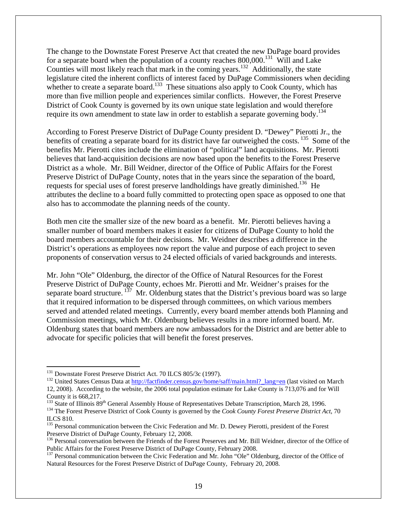The change to the Downstate Forest Preserve Act that created the new DuPage board provides for a separate board when the population of a county reaches  $800,000$ .<sup>131</sup> Will and Lake Counties will most likely reach that mark in the coming years.<sup>132</sup> Additionally, the state legislature cited the inherent conflicts of interest faced by DuPage Commissioners when deciding whether to create a separate board.<sup>133</sup> These situations also apply to Cook County, which has more than five million people and experiences similar conflicts. However, the Forest Preserve District of Cook County is governed by its own unique state legislation and would therefore require its own amendment to state law in order to establish a separate governing body.<sup>134</sup>

According to Forest Preserve District of DuPage County president D. "Dewey" Pierotti Jr., the benefits of creating a separate board for its district have far outweighed the costs.<sup>135</sup> Some of the benefits Mr. Pierotti cites include the elimination of "political" land acquisitions. Mr. Pierotti believes that land-acquisition decisions are now based upon the benefits to the Forest Preserve District as a whole. Mr. Bill Weidner, director of the Office of Public Affairs for the Forest Preserve District of DuPage County, notes that in the years since the separation of the board, requests for special uses of forest preserve landholdings have greatly diminished.<sup>136</sup> He attributes the decline to a board fully committed to protecting open space as opposed to one that also has to accommodate the planning needs of the county.

Both men cite the smaller size of the new board as a benefit. Mr. Pierotti believes having a smaller number of board members makes it easier for citizens of DuPage County to hold the board members accountable for their decisions. Mr. Weidner describes a difference in the District's operations as employees now report the value and purpose of each project to seven proponents of conservation versus to 24 elected officials of varied backgrounds and interests.

Mr. John "Ole" Oldenburg, the director of the Office of Natural Resources for the Forest Preserve District of DuPage County, echoes Mr. Pierotti and Mr. Weidner's praises for the separate board structure.  $137$  Mr. Oldenburg states that the District's previous board was so large that it required information to be dispersed through committees, on which various members served and attended related meetings. Currently, every board member attends both Planning and Commission meetings, which Mr. Oldenburg believes results in a more informed board. Mr. Oldenburg states that board members are now ambassadors for the District and are better able to advocate for specific policies that will benefit the forest preserves.

 $\overline{a}$ 

<sup>&</sup>lt;sup>131</sup> Downstate Forest Preserve District Act. 70 ILCS 805/3c (1997).<br><sup>132</sup> United States Census Data at *http://factfinder.census.gov/home/saff/main.html*?\_lang=en (last visited on March 12, 2008). According to the website, the 2006 total population estimate for Lake County is 713,076 and for Will County it is 668,217.<br><sup>133</sup> State of Illinois 89<sup>th</sup> General Assembly House of Representatives Debate Transcription, March 28, 1996.

<sup>&</sup>lt;sup>134</sup> The Forest Preserve District of Cook County is governed by the Cook County Forest Preserve District Act, 70 ILCS 810.

<sup>&</sup>lt;sup>135</sup> Personal communication between the Civic Federation and Mr. D. Dewey Pierotti, president of the Forest Preserve District of DuPage County, February 12, 2008.

<sup>&</sup>lt;sup>136</sup> Personal conversation between the Friends of the Forest Preserves and Mr. Bill Weidner, director of the Office of

Public Affairs for the Forest Preserve District of DuPage County, February 2008. 137 Personal communication between the Civic Federation and Mr. John "Ole" Oldenburg, director of the Office of Natural Resources for the Forest Preserve District of DuPage County, February 20, 2008.